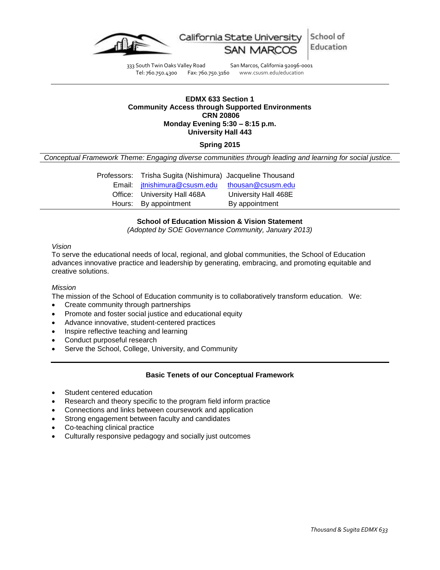

School of California State Uni Education

333 South Twin Oaks Valley Road San Marcos, California 92096-0001 Tel: 760.750.4300 Fax: 760.750.3160 www.csusm.edu/education

### **EDMX 633 Section 1 Community Access through Supported Environments CRN 20806 Monday Evening 5:30 – 8:15 p.m. University Hall 443**

## **Spring 2015**

*Conceptual Framework Theme: Engaging diverse communities through leading and learning for social justice.*

| Professors: Trisha Sugita (Nishimura) Jacqueline Thousand |                      |
|-----------------------------------------------------------|----------------------|
| Email: jtnishimura@csusm.edu                              | thousan@csusm.edu    |
| Office: University Hall 468A                              | University Hall 468E |
| Hours: By appointment                                     | By appointment       |

### **School of Education Mission & Vision Statement**

*(Adopted by SOE Governance Community, January 2013)*

### *Vision*

To serve the educational needs of local, regional, and global communities, the School of Education advances innovative practice and leadership by generating, embracing, and promoting equitable and creative solutions.

### *Mission*

The mission of the School of Education community is to collaboratively transform education. We:

- Create community through partnerships
- Promote and foster social justice and educational equity
- Advance innovative, student-centered practices
- Inspire reflective teaching and learning
- Conduct purposeful research
- Serve the School, College, University, and Community

## **Basic Tenets of our Conceptual Framework**

- Student centered education
- Research and theory specific to the program field inform practice
- Connections and links between coursework and application
- Strong engagement between faculty and candidates
- Co-teaching clinical practice
- Culturally responsive pedagogy and socially just outcomes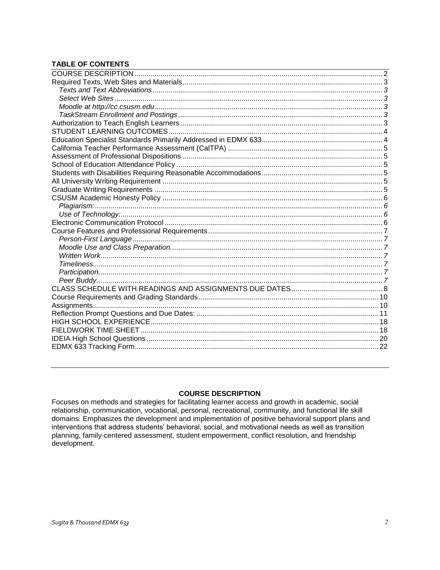## **TABLE OF CONTENTS**

## **COURSE DESCRIPTION**

<span id="page-1-1"></span><span id="page-1-0"></span>Focuses on methods and strategies for facilitating learner access and growth in academic, social relationship, communication, vocational, personal, recreational, community, and functional life skill domains. Emphasizes the development and implementation of positive behavioral support plans and interventions that address students' behavioral, social, and motivational needs as well as transition planning, family-centered assessment, student empowerment, conflict resolution, and friendship development.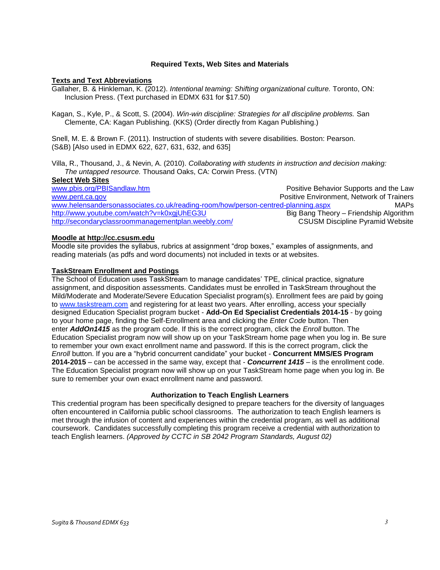### **Required Texts, Web Sites and Materials**

### <span id="page-2-0"></span>**Texts and Text Abbreviations**

Gallaher, B. & Hinkleman, K. (2012). *Intentional teaming: Shifting organizational culture.* Toronto, ON: Inclusion Press. (Text purchased in EDMX 631 for \$17.50)

Kagan, S., Kyle, P., & Scott, S. (2004). *Win-win discipline: Strategies for all discipline problems.* San Clemente, CA: Kagan Publishing. (KKS) (Order directly from Kagan Publishing.)

Snell, M. E. & Brown F. (2011). Instruction of students with severe disabilities. Boston: Pearson. (S&B) [Also used in EDMX 622, 627, 631, 632, and 635]

Villa, R., Thousand, J., & Nevin, A. (2010). *Collaborating with students in instruction and decision making: The untapped resource.* Thousand Oaks, CA: Corwin Press. (VTN)

#### <span id="page-2-1"></span>**Select Web Sites**

[www.pbis.org/PBISandlaw.htm](http://www.pbis.org/PBISandlaw.htm) **Positive Behavior Supports and the Law** [www.pent.ca.gov](http://www.pent.ca.gov/) **Positive Environment, Network of Trainers** [www.helensandersonassociates.co.uk/reading-room/how/person-centred-planning.aspx](http://www.helensandersonassociates.co.uk/reading-room/how/person-centred-planning.aspx) MAPs <http://www.youtube.com/watch?v=k0xgjUhEG3U> Big Bang Theory – Friendship Algorithm<br>http://secondaryclassroommanagementplan.weebly.com/ CSUSM Discipline Pyramid Website <http://secondaryclassroommanagementplan.weebly.com/>

#### <span id="page-2-2"></span>**Moodle at http://cc.csusm.edu**

Moodle site provides the syllabus, rubrics at assignment "drop boxes," examples of assignments, and reading materials (as pdfs and word documents) not included in texts or at websites.

### <span id="page-2-3"></span>**TaskStream Enrollment and Postings**

The School of Education uses TaskStream to manage candidates' TPE, clinical practice, signature assignment, and disposition assessments. Candidates must be enrolled in TaskStream throughout the Mild/Moderate and Moderate/Severe Education Specialist program(s). Enrollment fees are paid by going to [www.taskstream.com](http://www.taskstrem.com/) and registering for at least two years. After enrolling, access your specially designed Education Specialist program bucket - **Add-On Ed Specialist Credentials 2014-15** - by going to your home page, finding the Self-Enrollment area and clicking the *Enter Code* button. Then enter *AddOn1415* as the program code. If this is the correct program, click the *Enroll* button. The Education Specialist program now will show up on your TaskStream home page when you log in. Be sure to remember your own exact enrollment name and password. If this is the correct program, click the *Enroll* button. If you are a "hybrid concurrent candidate" your bucket - **Concurrent MMS/ES Program 2014-2015** – can be accessed in the same way, except that - *Concurrent 1415* – is the enrollment code. The Education Specialist program now will show up on your TaskStream home page when you log in. Be sure to remember your own exact enrollment name and password.

### **Authorization to Teach English Learners**

<span id="page-2-5"></span><span id="page-2-4"></span>This credential program has been specifically designed to prepare teachers for the diversity of languages often encountered in California public school classrooms. The authorization to teach English learners is met through the infusion of content and experiences within the credential program, as well as additional coursework. Candidates successfully completing this program receive a credential with authorization to teach English learners. *(Approved by CCTC in SB 2042 Program Standards, August 02)*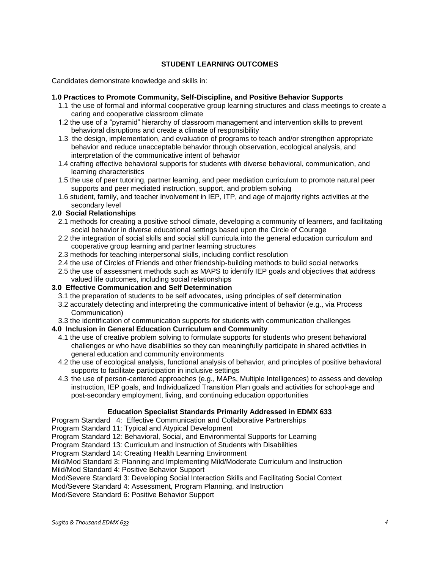## **STUDENT LEARNING OUTCOMES**

Candidates demonstrate knowledge and skills in:

### **1.0 Practices to Promote Community, Self-Discipline, and Positive Behavior Supports**

- 1.1 the use of formal and informal cooperative group learning structures and class meetings to create a caring and cooperative classroom climate
- 1.2 the use of a "pyramid" hierarchy of classroom management and intervention skills to prevent behavioral disruptions and create a climate of responsibility
- 1.3 the design, implementation, and evaluation of programs to teach and/or strengthen appropriate behavior and reduce unacceptable behavior through observation, ecological analysis, and interpretation of the communicative intent of behavior
- 1.4 crafting effective behavioral supports for students with diverse behavioral, communication, and learning characteristics
- 1.5 the use of peer tutoring, partner learning, and peer mediation curriculum to promote natural peer supports and peer mediated instruction, support, and problem solving
- 1.6 student, family, and teacher involvement in IEP, ITP, and age of majority rights activities at the secondary level

## **2.0 Social Relationships**

- 2.1 methods for creating a positive school climate, developing a community of learners, and facilitating social behavior in diverse educational settings based upon the Circle of Courage
- 2.2 the integration of social skills and social skill curricula into the general education curriculum and cooperative group learning and partner learning structures
- 2.3 methods for teaching interpersonal skills, including conflict resolution
- 2.4 the use of Circles of Friends and other friendship-building methods to build social networks
- 2.5 the use of assessment methods such as MAPS to identify IEP goals and objectives that address valued life outcomes, including social relationships

### **3.0 Effective Communication and Self Determination**

- 3.1 the preparation of students to be self advocates, using principles of self determination
- 3.2 accurately detecting and interpreting the communicative intent of behavior (e.g., via Process Communication)
- 3.3 the identification of communication supports for students with communication challenges

## **4.0 Inclusion in General Education Curriculum and Community**

- 4.1 the use of creative problem solving to formulate supports for students who present behavioral challenges or who have disabilities so they can meaningfully participate in shared activities in general education and community environments
- 4.2 the use of ecological analysis, functional analysis of behavior, and principles of positive behavioral supports to facilitate participation in inclusive settings
- 4.3 the use of person-centered approaches (e.g., MAPs, Multiple Intelligences) to assess and develop instruction, IEP goals, and Individualized Transition Plan goals and activities for school-age and post-secondary employment, living, and continuing education opportunities

## **Education Specialist Standards Primarily Addressed in EDMX 633**

<span id="page-3-0"></span>Program Standard 4: Effective Communication and Collaborative Partnerships

Program Standard 11: Typical and Atypical Development

Program Standard 12: Behavioral, Social, and Environmental Supports for Learning

Program Standard 13: Curriculum and Instruction of Students with Disabilities

Program Standard 14: Creating Health Learning Environment

Mild/Mod Standard 3: Planning and Implementing Mild/Moderate Curriculum and Instruction

Mild/Mod Standard 4: Positive Behavior Support

Mod/Severe Standard 3: Developing Social Interaction Skills and Facilitating Social Context

Mod/Severe Standard 4: Assessment, Program Planning, and Instruction

<span id="page-3-1"></span>Mod/Severe Standard 6: Positive Behavior Support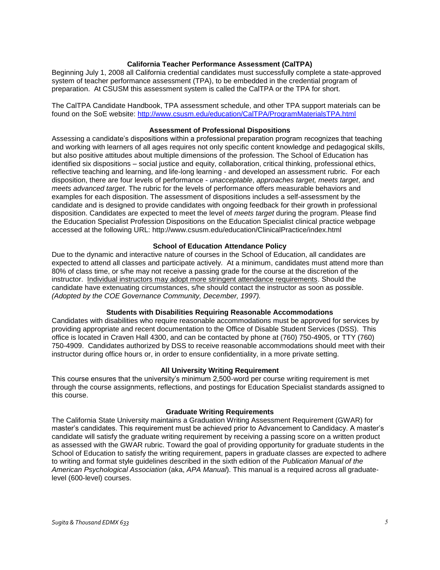### **California Teacher Performance Assessment (CalTPA)**

Beginning July 1, 2008 all California credential candidates must successfully complete a state-approved system of teacher performance assessment (TPA), to be embedded in the credential program of preparation. At CSUSM this assessment system is called the CalTPA or the TPA for short.

The CalTPA Candidate Handbook, TPA assessment schedule, and other TPA support materials can be found on the SoE website: <http://www.csusm.edu/education/CalTPA/ProgramMaterialsTPA.html>

### **Assessment of Professional Dispositions**

<span id="page-4-0"></span>Assessing a candidate's dispositions within a professional preparation program recognizes that teaching and working with learners of all ages requires not only specific content knowledge and pedagogical skills, but also positive attitudes about multiple dimensions of the profession. The School of Education has identified six dispositions – social justice and equity, collaboration, critical thinking, professional ethics, reflective teaching and learning, and life-long learning - and developed an assessment rubric. For each disposition, there are four levels of performance - *unacceptable*, *approaches target, meets target*, and *meets advanced target*. The rubric for the levels of performance offers measurable behaviors and examples for each disposition. The assessment of dispositions includes a self-assessment by the candidate and is designed to provide candidates with ongoing feedback for their growth in professional disposition. Candidates are expected to meet the level of *meets target* during the program. Please find the Education Specialist Profession Dispositions on the Education Specialist clinical practice webpage accessed at the following URL: http://www.csusm.edu/education/ClinicalPractice/index.html

### **School of Education Attendance Policy**

<span id="page-4-1"></span>Due to the dynamic and interactive nature of courses in the School of Education, all candidates are expected to attend all classes and participate actively. At a minimum, candidates must attend more than 80% of class time, or s/he may not receive a passing grade for the course at the discretion of the instructor. Individual instructors may adopt more stringent attendance requirements. Should the candidate have extenuating circumstances, s/he should contact the instructor as soon as possible. *(Adopted by the COE Governance Community, December, 1997).*

### **Students with Disabilities Requiring Reasonable Accommodations**

<span id="page-4-2"></span>Candidates with disabilities who require reasonable accommodations must be approved for services by providing appropriate and recent documentation to the Office of Disable Student Services (DSS). This office is located in Craven Hall 4300, and can be contacted by phone at (760) 750-4905, or TTY (760) 750-4909. Candidates authorized by DSS to receive reasonable accommodations should meet with their instructor during office hours or, in order to ensure confidentiality, in a more private setting.

#### **All University Writing Requirement**

<span id="page-4-3"></span>This course ensures that the university's minimum 2,500-word per course writing requirement is met through the course assignments, reflections, and postings for Education Specialist standards assigned to this course.

### **Graduate Writing Requirements**

<span id="page-4-4"></span>The California State University maintains a Graduation Writing Assessment Requirement (GWAR) for master's candidates. This requirement must be achieved prior to Advancement to Candidacy. A master's candidate will satisfy the graduate writing requirement by receiving a passing score on a written product as assessed with the GWAR rubric. Toward the goal of providing opportunity for graduate students in the School of Education to satisfy the writing requirement, papers in graduate classes are expected to adhere to writing and format style guidelines described in the sixth edition of the *Publication Manual of the American Psychological Association* (aka, *APA Manual*). This manual is a required across all graduatelevel (600-level) courses.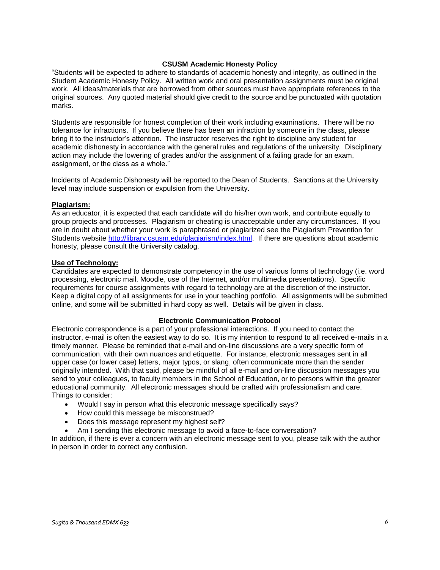### **CSUSM Academic Honesty Policy**

<span id="page-5-0"></span>"Students will be expected to adhere to standards of academic honesty and integrity, as outlined in the Student Academic Honesty Policy. All written work and oral presentation assignments must be original work. All ideas/materials that are borrowed from other sources must have appropriate references to the original sources. Any quoted material should give credit to the source and be punctuated with quotation marks.

Students are responsible for honest completion of their work including examinations. There will be no tolerance for infractions. If you believe there has been an infraction by someone in the class, please bring it to the instructor's attention. The instructor reserves the right to discipline any student for academic dishonesty in accordance with the general rules and regulations of the university. Disciplinary action may include the lowering of grades and/or the assignment of a failing grade for an exam, assignment, or the class as a whole."

Incidents of Academic Dishonesty will be reported to the Dean of Students. Sanctions at the University level may include suspension or expulsion from the University.

### <span id="page-5-1"></span>**Plagiarism:**

As an educator, it is expected that each candidate will do his/her own work, and contribute equally to group projects and processes. Plagiarism or cheating is unacceptable under any circumstances. If you are in doubt about whether your work is paraphrased or plagiarized see the Plagiarism Prevention for Students website [http://library.csusm.edu/plagiarism/index.html.](http://library.csusm.edu/plagiarism/index.html) If there are questions about academic honesty, please consult the University catalog.

### <span id="page-5-2"></span>**Use of Technology:**

Candidates are expected to demonstrate competency in the use of various forms of technology (i.e. word processing, electronic mail, Moodle, use of the Internet, and/or multimedia presentations). Specific requirements for course assignments with regard to technology are at the discretion of the instructor. Keep a digital copy of all assignments for use in your teaching portfolio. All assignments will be submitted online, and some will be submitted in hard copy as well. Details will be given in class.

### **Electronic Communication Protocol**

<span id="page-5-3"></span>Electronic correspondence is a part of your professional interactions. If you need to contact the instructor, e-mail is often the easiest way to do so. It is my intention to respond to all received e-mails in a timely manner. Please be reminded that e-mail and on-line discussions are a very specific form of communication, with their own nuances and etiquette. For instance, electronic messages sent in all upper case (or lower case) letters, major typos, or slang, often communicate more than the sender originally intended. With that said, please be mindful of all e-mail and on-line discussion messages you send to your colleagues, to faculty members in the School of Education, or to persons within the greater educational community. All electronic messages should be crafted with professionalism and care. Things to consider:

- Would I say in person what this electronic message specifically says?
- How could this message be misconstrued?
- Does this message represent my highest self?
- Am I sending this electronic message to avoid a face-to-face conversation?

<span id="page-5-4"></span>In addition, if there is ever a concern with an electronic message sent to you, please talk with the author in person in order to correct any confusion.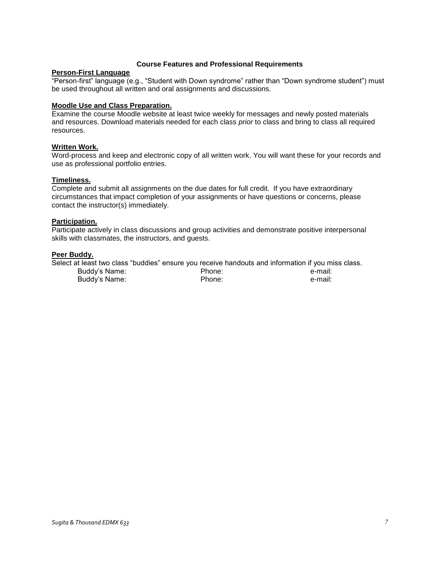### **Course Features and Professional Requirements**

## <span id="page-6-0"></span>**Person-First Language**

"Person-first" language (e.g., "Student with Down syndrome" rather than "Down syndrome student") must be used throughout all written and oral assignments and discussions.

### <span id="page-6-1"></span>**Moodle Use and Class Preparation.**

Examine the course Moodle website at least twice weekly for messages and newly posted materials and resources. Download materials needed for each class *prior* to class and bring to class all required resources.

### <span id="page-6-2"></span>**Written Work.**

Word-process and keep and electronic copy of all written work. You will want these for your records and use as professional portfolio entries.

### <span id="page-6-3"></span>**Timeliness.**

Complete and submit all assignments on the due dates for full credit. If you have extraordinary circumstances that impact completion of your assignments or have questions or concerns, please contact the instructor(s) immediately.

## <span id="page-6-4"></span>**Participation.**

Participate actively in class discussions and group activities and demonstrate positive interpersonal skills with classmates, the instructors, and guests.

### <span id="page-6-5"></span>**Peer Buddy.**

| Select at least two class "buddies" ensure you receive handouts and information if you miss class. |        |         |
|----------------------------------------------------------------------------------------------------|--------|---------|
| Buddy's Name:                                                                                      | Phone: | e-mail: |
| Buddy's Name:                                                                                      | Phone: | e-mail: |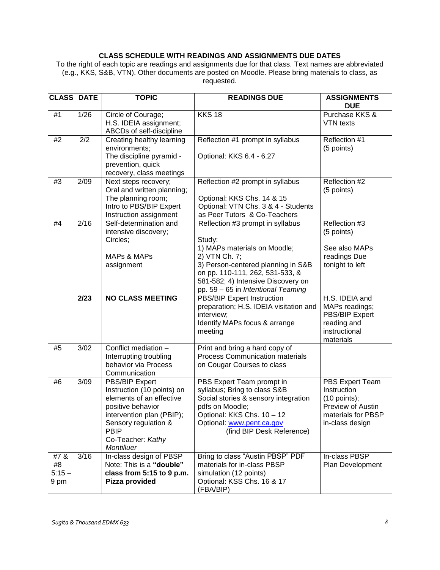## **CLASS SCHEDULE WITH READINGS AND ASSIGNMENTS DUE DATES**

<span id="page-7-0"></span>To the right of each topic are readings and assignments due for that class*.* Text names are abbreviated (e.g., KKS, S&B, VTN). Other documents are posted on Moodle. Please bring materials to class, as requested.

| <b>CLASS</b>                  | <b>DATE</b> | <b>TOPIC</b>                                                                                                                                                                                         | <b>READINGS DUE</b>                                                                                                                                                                                                                              | <b>ASSIGNMENTS</b><br><b>DUE</b>                                                                               |
|-------------------------------|-------------|------------------------------------------------------------------------------------------------------------------------------------------------------------------------------------------------------|--------------------------------------------------------------------------------------------------------------------------------------------------------------------------------------------------------------------------------------------------|----------------------------------------------------------------------------------------------------------------|
| #1                            | 1/26        | Circle of Courage;<br>H.S. IDEIA assignment;<br>ABCDs of self-discipline                                                                                                                             | <b>KKS 18</b>                                                                                                                                                                                                                                    | Purchase KKS &<br>VTN texts                                                                                    |
| #2                            | 2/2         | Creating healthy learning<br>environments;<br>The discipline pyramid -<br>prevention, quick<br>recovery, class meetings                                                                              | Reflection #1 prompt in syllabus<br>Optional: KKS 6.4 - 6.27                                                                                                                                                                                     | Reflection #1<br>(5 points)                                                                                    |
| #3                            | 2/09        | Next steps recovery;<br>Oral and written planning;<br>The planning room;<br>Intro to PBS/BIP Expert<br>Instruction assignment                                                                        | Reflection #2 prompt in syllabus<br>Optional: KKS Chs. 14 & 15<br>Optional: VTN Chs. 3 & 4 - Students<br>as Peer Tutors & Co-Teachers                                                                                                            | Reflection #2<br>(5 points)                                                                                    |
| #4                            | 2/16        | Self-determination and<br>intensive discovery;<br>Circles;<br><b>MAPs &amp; MAPs</b><br>assignment                                                                                                   | Reflection #3 prompt in syllabus<br>Study:<br>1) MAPs materials on Moodle;<br>2) VTN Ch. 7;<br>3) Person-centered planning in S&B<br>on pp. 110-111, 262, 531-533, &<br>581-582; 4) Intensive Discovery on<br>pp. 59 - 65 in Intentional Teaming | Reflection #3<br>(5 points)<br>See also MAPs<br>readings Due<br>tonight to left                                |
|                               | 2/23        | <b>NO CLASS MEETING</b>                                                                                                                                                                              | <b>PBS/BIP Expert Instruction</b><br>preparation; H.S. IDEIA visitation and<br>interview;<br>Identify MAPs focus & arrange<br>meeting                                                                                                            | H.S. IDEIA and<br>MAPs readings;<br>PBS/BIP Expert<br>reading and<br>instructional<br>materials                |
| #5                            | 3/02        | Conflict mediation -<br>Interrupting troubling<br>behavior via Process<br>Communication                                                                                                              | Print and bring a hard copy of<br><b>Process Communication materials</b><br>on Cougar Courses to class                                                                                                                                           |                                                                                                                |
| #6                            | 3/09        | PBS/BIP Expert<br>Instruction (10 points) on<br>elements of an effective<br>positive behavior<br>intervention plan (PBIP);<br>Sensory regulation &<br><b>PBIP</b><br>Co-Teacher: Kathy<br>Montilluer | PBS Expert Team prompt in<br>syllabus; Bring to class S&B<br>Social stories & sensory integration<br>pdfs on Moodle;<br>Optional: KKS Chs. 10 - 12<br>Optional: www.pent.ca.gov<br>(find BIP Desk Reference)                                     | PBS Expert Team<br>Instruction<br>$(10$ points);<br>Preview of Austin<br>materials for PBSP<br>in-class design |
| #7&<br>#8<br>$5:15 -$<br>9 pm | 3/16        | In-class design of PBSP<br>Note: This is a "double"<br>class from 5:15 to 9 p.m.<br>Pizza provided                                                                                                   | Bring to class "Austin PBSP" PDF<br>materials for in-class PBSP<br>simulation (12 points)<br>Optional: KSS Chs. 16 & 17<br>(FBA/BIP)                                                                                                             | In-class PBSP<br>Plan Development                                                                              |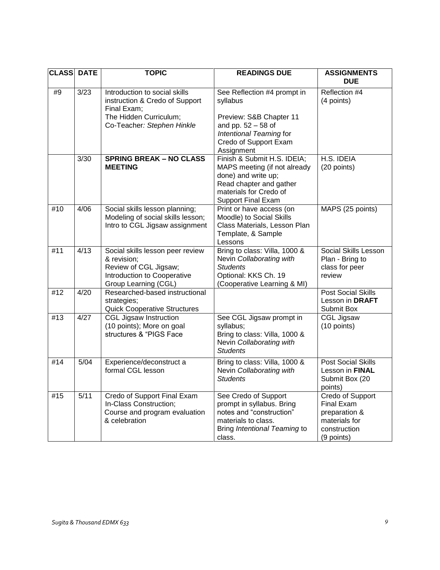| <b>CLASS DATE</b> |                   | <b>TOPIC</b>                                                                                                                           | <b>READINGS DUE</b>                                                                                                                                                  | <b>ASSIGNMENTS</b><br><b>DUE</b>                                                                      |
|-------------------|-------------------|----------------------------------------------------------------------------------------------------------------------------------------|----------------------------------------------------------------------------------------------------------------------------------------------------------------------|-------------------------------------------------------------------------------------------------------|
| #9                | $\overline{3/23}$ | Introduction to social skills<br>instruction & Credo of Support<br>Final Exam;<br>The Hidden Curriculum;<br>Co-Teacher: Stephen Hinkle | See Reflection #4 prompt in<br>syllabus<br>Preview: S&B Chapter 11<br>and pp. $52 - 58$ of<br>Intentional Teaming for<br>Credo of Support Exam<br>Assignment         | Reflection #4<br>(4 points)                                                                           |
|                   | 3/30              | <b>SPRING BREAK - NO CLASS</b><br><b>MEETING</b>                                                                                       | Finish & Submit H.S. IDEIA;<br>MAPS meeting (if not already<br>done) and write up;<br>Read chapter and gather<br>materials for Credo of<br><b>Support Final Exam</b> | H.S. IDEIA<br>(20 points)                                                                             |
| #10               | 4/06              | Social skills lesson planning;<br>Modeling of social skills lesson;<br>Intro to CGL Jigsaw assignment                                  | Print or have access (on<br>Moodle) to Social Skills<br>Class Materials, Lesson Plan<br>Template, & Sample<br>Lessons                                                | MAPS (25 points)                                                                                      |
| #11               | 4/13              | Social skills lesson peer review<br>& revision;<br>Review of CGL Jigsaw;<br>Introduction to Cooperative<br>Group Learning (CGL)        | Bring to class: Villa, 1000 &<br>Nevin Collaborating with<br><b>Students</b><br>Optional: KKS Ch. 19<br>(Cooperative Learning & MI)                                  | <b>Social Skills Lesson</b><br>Plan - Bring to<br>class for peer<br>review                            |
| #12               | 4/20              | Researched-based instructional<br>strategies;<br><b>Quick Cooperative Structures</b>                                                   |                                                                                                                                                                      | <b>Post Social Skills</b><br>Lesson in DRAFT<br>Submit Box                                            |
| #13               | 4/27              | <b>CGL Jigsaw Instruction</b><br>(10 points); More on goal<br>structures & "PIGS Face                                                  | See CGL Jigsaw prompt in<br>syllabus;<br>Bring to class: Villa, 1000 &<br>Nevin Collaborating with<br><b>Students</b>                                                | <b>CGL Jigsaw</b><br>(10 points)                                                                      |
| #14               | 5/04              | Experience/deconstruct a<br>formal CGL lesson                                                                                          | Bring to class: Villa, 1000 &<br>Nevin Collaborating with<br><b>Students</b>                                                                                         | <b>Post Social Skills</b><br>Lesson in FINAL<br>Submit Box (20<br>points)                             |
| #15               | 5/11              | Credo of Support Final Exam<br>In-Class Construction;<br>Course and program evaluation<br>& celebration                                | See Credo of Support<br>prompt in syllabus. Bring<br>notes and "construction"<br>materials to class.<br>Bring Intentional Teaming to<br>class.                       | Credo of Support<br><b>Final Exam</b><br>preparation &<br>materials for<br>construction<br>(9 points) |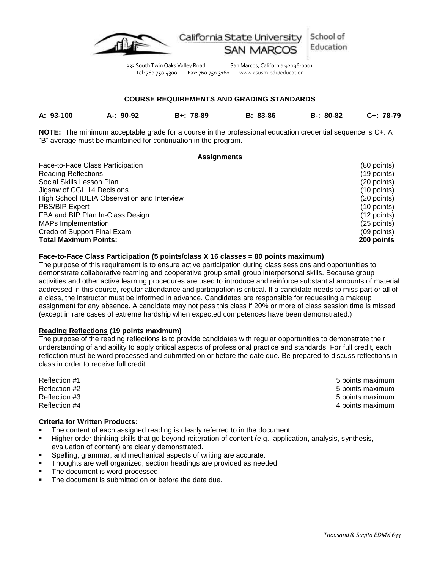

333 South Twin Oaks Valley Road San Marcos, California 92096-0001 Tel: 760.750.4300 Fax: 760.750.3160 www.csusm.edu/education

### **COURSE REQUIREMENTS AND GRADING STANDARDS**

<span id="page-9-0"></span>

**A: 93-100 A-: 90-92 B+: 78-89 B: 83-86 B-: 80-82 C+: 78-79**

**NOTE:** The minimum acceptable grade for a course in the professional education credential sequence is C+. A "B" average must be maintained for continuation in the program.

### **Assignments**

<span id="page-9-1"></span>

| Face-to-Face Class Participation            | (80 points)   |
|---------------------------------------------|---------------|
| <b>Reading Reflections</b>                  | $(19$ points) |
| Social Skills Lesson Plan                   | (20 points)   |
| Jigsaw of CGL 14 Decisions                  | $(10$ points) |
| High School IDEIA Observation and Interview | $(20$ points) |
| <b>PBS/BIP Expert</b>                       | $(10$ points) |
| FBA and BIP Plan In-Class Design            | (12 points)   |
| <b>MAPs Implementation</b>                  | (25 points)   |
| Credo of Support Final Exam                 | $(09$ points) |
| <b>Total Maximum Points:</b>                | 200 points    |

## **Face-to-Face Class Participation (5 points/class X 16 classes = 80 points maximum)**

The purpose of this requirement is to ensure active participation during class sessions and opportunities to demonstrate collaborative teaming and cooperative group small group interpersonal skills. Because group activities and other active learning procedures are used to introduce and reinforce substantial amounts of material addressed in this course, regular attendance and participation is critical. If a candidate needs to miss part or all of a class, the instructor must be informed in advance. Candidates are responsible for requesting a makeup assignment for any absence. A candidate may not pass this class if 20% or more of class session time is missed (except in rare cases of extreme hardship when expected competences have been demonstrated.)

### **Reading Reflections (19 points maximum)**

The purpose of the reading reflections is to provide candidates with regular opportunities to demonstrate their understanding of and ability to apply critical aspects of professional practice and standards. For full credit, each reflection must be word processed and submitted on or before the date due. Be prepared to discuss reflections in class in order to receive full credit.

## **Criteria for Written Products:**

- The content of each assigned reading is clearly referred to in the document.
- Higher order thinking skills that go beyond reiteration of content (e.g., application, analysis, synthesis, evaluation of content) are clearly demonstrated.
- Spelling, grammar, and mechanical aspects of writing are accurate.
- Thoughts are well organized; section headings are provided as needed.
- The document is word-processed.
- The document is submitted on or before the date due.

Reflection #1 5 points maximum contract to the set of the set of the set of the set of the set of the set of the set of the set of the set of the set of the set of the set of the set of the set of the set of the set of the Reflection #2 5 points maximum contract to the set of the set of the set of the set of the set of the set of the set of the set of the set of the set of the set of the set of the set of the set of the set of the set of the Reflection #3 5 points maximum contract to the set of the set of the set of the set of the set of the set of the set of the set of the set of the set of the set of the set of the set of the set of the set of the set of the Reflection #4 **4 All 2008 Reflection #4 4** points maximum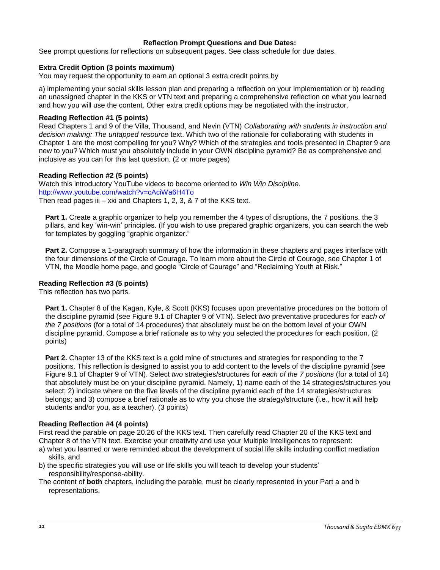## **Reflection Prompt Questions and Due Dates:**

<span id="page-10-0"></span>See prompt questions for reflections on subsequent pages. See class schedule for due dates.

## **Extra Credit Option (3 points maximum)**

You may request the opportunity to earn an optional 3 extra credit points by

a) implementing your social skills lesson plan and preparing a reflection on your implementation or b) reading an unassigned chapter in the KKS or VTN text and preparing a comprehensive reflection on what you learned and how you will use the content. Other extra credit options may be negotiated with the instructor.

### **Reading Reflection #1 (5 points)**

Read Chapters 1 and 9 of the Villa, Thousand, and Nevin (VTN) *Collaborating with students in instruction and decision making: The untapped resource* text. Which two of the rationale for collaborating with students in Chapter 1 are the most compelling for you? Why? Which of the strategies and tools presented in Chapter 9 are new to you? Which must you absolutely include in your OWN discipline pyramid? Be as comprehensive and inclusive as you can for this last question. (2 or more pages)

## **Reading Reflection #2 (5 points)**

Watch this introductory YouTube videos to become oriented to *Win Win Discipline*. <http://www.youtube.com/watch?v=cAciWa6H4To> Then read pages iii – xxi and Chapters 1, 2, 3, & 7 of the KKS text.

**Part 1.** Create a graphic organizer to help you remember the 4 types of disruptions, the 7 positions, the 3 pillars, and key 'win-win' principles. (If you wish to use prepared graphic organizers, you can search the web for templates by goggling "graphic organizer."

**Part 2.** Compose a 1-paragraph summary of how the information in these chapters and pages interface with the four dimensions of the Circle of Courage. To learn more about the Circle of Courage, see Chapter 1 of VTN, the Moodle home page, and google "Circle of Courage" and "Reclaiming Youth at Risk."

## **Reading Reflection #3 (5 points)**

This reflection has two parts.

**Part 1.** Chapter 8 of the Kagan, Kyle, & Scott (KKS) focuses upon preventative procedures on the bottom of the discipline pyramid (see Figure 9.1 of Chapter 9 of VTN). Select *two* preventative procedures for *each of the 7 positions* (for a total of 14 procedures) that absolutely must be on the bottom level of your OWN discipline pyramid. Compose a brief rationale as to why you selected the procedures for each position. (2 points)

**Part 2.** Chapter 13 of the KKS text is a gold mine of structures and strategies for responding to the 7 positions. This reflection is designed to assist you to add content to the levels of the discipline pyramid (see Figure 9.1 of Chapter 9 of VTN). Select *two* strategies/structures for *each of the 7 positions* (for a total of 14) that absolutely must be on your discipline pyramid. Namely, 1) name each of the 14 strategies/structures you select; 2) indicate where on the five levels of the discipline pyramid each of the 14 strategies/structures belongs; and 3) compose a brief rationale as to why you chose the strategy/structure (i.e., how it will help students and/or you, as a teacher). (3 points)

### **Reading Reflection #4 (4 points)**

First read the parable on page 20.26 of the KKS text. Then carefully read Chapter 20 of the KKS text and Chapter 8 of the VTN text. Exercise your creativity and use your Multiple Intelligences to represent:

- a) what you learned or were reminded about the development of social life skills including conflict mediation skills, and
- b) the specific strategies you will use or life skills you will teach to develop your students' responsibility/response-ability.

The content of **both** chapters, including the parable, must be clearly represented in your Part a and b representations.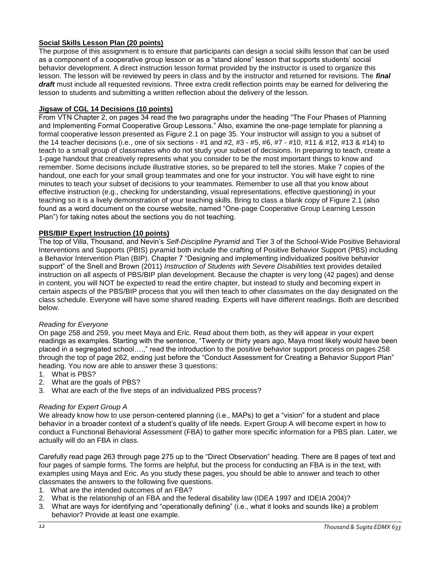## **Social Skills Lesson Plan (20 points)**

The purpose of this assignment is to ensure that participants can design a social skills lesson that can be used as a component of a cooperative group lesson or as a "stand alone" lesson that supports students' social behavior development. A direct instruction lesson format provided by the instructor is used to organize this lesson. The lesson will be reviewed by peers in class and by the instructor and returned for revisions. The *final draft* must include all requested revisions. Three extra credit reflection points may be earned for delivering the lesson to students and submitting a written reflection about the delivery of the lesson.

## **Jigsaw of CGL 14 Decisions (10 points)**

From VTN Chapter 2, on pages 34 read the two paragraphs under the heading "The Four Phases of Planning and Implementing Formal Cooperative Group Lessons." Also, examine the one-page template for planning a formal cooperative lesson presented as Figure 2.1 on page 35. Your instructor will assign to you a subset of the 14 teacher decisions (i.e., one of six sections - #1 and #2, #3 - #5, #6, #7 - #10, #11 & #12, #13 & #14) to teach to a small group of classmates who do not study your subset of decisions. In preparing to teach, create a 1-page handout that creatively represents what you consider to be the most important things to know and remember. Some decisions include illustrative stories, so be prepared to tell the stories. Make 7 copies of the handout, one each for your small group teammates and one for your instructor. You will have eight to nine minutes to teach your subset of decisions to your teammates. Remember to use all that you know about effective instruction (e.g., checking for understanding, visual representations, effective questioning) in your teaching so it is a lively demonstration of your teaching skills. Bring to class a blank copy of Figure 2.1 (also found as a word document on the course website, named "One-page Cooperative Group Learning Lesson Plan") for taking notes about the sections you do not teaching.

## **PBS/BIP Expert Instruction (10 points)**

The top of Villa, Thousand, and Nevin's *Self-Discipline Pyramid* and Tier 3 of the School-Wide Positive Behavioral Interventions and Supports (PBIS) pyramid both include the crafting of Positive Behavior Support (PBS) including a Behavior Intervention Plan (BIP). Chapter 7 "Designing and implementing individualized positive behavior support" of the Snell and Brown (2011) *Instruction of Students with Severe Disabilities* text provides detailed instruction on all aspects of PBS/BIP plan development. Because the chapter is very long (42 pages) and dense in content, you will NOT be expected to read the entire chapter, but instead to study and becoming expert in certain aspects of the PBS/BIP process that you will then teach to other classmates on the day designated on the class schedule. Everyone will have some shared reading. Experts will have different readings. Both are described below.

### *Reading for Everyone*

On page 258 and 259, you meet Maya and Eric. Read about them both, as they will appear in your expert readings as examples. Starting with the sentence, "Twenty or thirty years ago, Maya most likely would have been placed in a segregated school….," read the introduction to the positive behavior support process on pages 258 through the top of page 262, ending just before the "Conduct Assessment for Creating a Behavior Support Plan" heading. You now are able to answer these 3 questions:

- 1. What is PBS?
- 2. What are the goals of PBS?
- 3. What are each of the five steps of an individualized PBS process?

### *Reading for Expert Group A*

We already know how to use person-centered planning (i.e., MAPs) to get a "vision" for a student and place behavior in a broader context of a student's quality of life needs. Expert Group A will become expert in how to conduct a Functional Behavioral Assessment (FBA) to gather more specific information for a PBS plan. Later, we actually will do an FBA in class.

Carefully read page 263 through page 275 up to the "Direct Observation" heading. There are 8 pages of text and four pages of sample forms. The forms are helpful, but the process for conducting an FBA is in the text, with examples using Maya and Eric. As you study these pages, you should be able to answer and teach to other classmates the answers to the following five questions.

- 1. What are the intended outcomes of an FBA?
- 2. What is the relationship of an FBA and the federal disability law (IDEA 1997 and IDEIA 2004)?
- 3. What are ways for identifying and "operationally defining" (i.e., what it looks and sounds like) a problem behavior? Provide at least one example.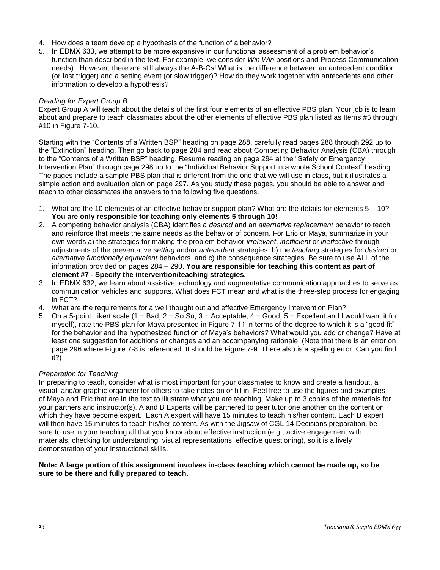- 4. How does a team develop a hypothesis of the function of a behavior?
- 5. In EDMX 633, we attempt to be more expansive in our functional assessment of a problem behavior's function than described in the text. For example, we consider *Win Win* positions and Process Communication needs). However, there are still always the A-B-Cs! What is the difference between an antecedent condition (or fast trigger) and a setting event (or slow trigger)? How do they work together with antecedents and other information to develop a hypothesis?

## *Reading for Expert Group B*

Expert Group A will teach about the details of the first four elements of an effective PBS plan. Your job is to learn about and prepare to teach classmates about the other elements of effective PBS plan listed as Items #5 through #10 in Figure 7-10.

Starting with the "Contents of a Written BSP" heading on page 288, carefully read pages 288 through 292 up to the "Extinction" heading. Then go back to page 284 and read about Competing Behavior Analysis (CBA) through to the "Contents of a Written BSP" heading. Resume reading on page 294 at the "Safety or Emergency Intervention Plan" through page 298 up to the "Individual Behavior Support in a whole School Context" heading. The pages include a sample PBS plan that is different from the one that we will use in class, but it illustrates a simple action and evaluation plan on page 297. As you study these pages, you should be able to answer and teach to other classmates the answers to the following five questions.

- 1. What are the 10 elements of an effective behavior support plan? What are the details for elements 5 10? **You are only responsible for teaching only elements 5 through 10!**
- 2. A competing behavior analysis (CBA) identifies a *desired* and an *alternative replacement* behavior to teach and reinforce that meets the same needs as the behavior of concern. For Eric or Maya, summarize in your own words a) the strategies for making the problem behavior *irrelevant*, *inefficient* or *ineffective* through adjustments of the preventative *setting* and/or *antecedent* strategies, b) the *teaching* strategies for *desired* or *alternative functionally equivalent* behaviors, and c) the consequence strategies. Be sure to use ALL of the information provided on pages 284 – 290. **You are responsible for teaching this content as part of element #7 - Specify the intervention/teaching strategies.**
- 3. In EDMX 632, we learn about assistive technology and augmentative communication approaches to serve as communication vehicles and supports. What does FCT mean and what is the three-step process for engaging in FCT?
- 4. What are the requirements for a well thought out and effective Emergency Intervention Plan?
- 5. On a 5-point Likert scale (1 = Bad,  $2 =$  So So,  $3 =$  Acceptable,  $4 =$  Good,  $5 =$  Excellent and I would want it for myself), rate the PBS plan for Maya presented in Figure 7-11 in terms of the degree to which it is a "good fit" for the behavior and the hypothesized function of Maya's behaviors? What would you add or change? Have at least one suggestion for additions or changes and an accompanying rationale. (Note that there is an error on page 296 where Figure 7-8 is referenced. It should be Figure 7-**9**. There also is a spelling error. Can you find it?)

## *Preparation for Teaching*

In preparing to teach, consider what is most important for your classmates to know and create a handout, a visual, and/or graphic organizer for others to take notes on or fill in. Feel free to use the figures and examples of Maya and Eric that are in the text to illustrate what you are teaching. Make up to 3 copies of the materials for your partners and instructor(s). A and B Experts will be partnered to peer tutor one another on the content on which they have become expert. Each A expert will have 15 minutes to teach his/her content. Each B expert will then have 15 minutes to teach his/her content. As with the Jigsaw of CGL 14 Decisions preparation, be sure to use in your teaching all that you know about effective instruction (e.g., active engagement with materials, checking for understanding, visual representations, effective questioning), so it is a lively demonstration of your instructional skills.

## **Note: A large portion of this assignment involves in-class teaching which cannot be made up, so be sure to be there and fully prepared to teach.**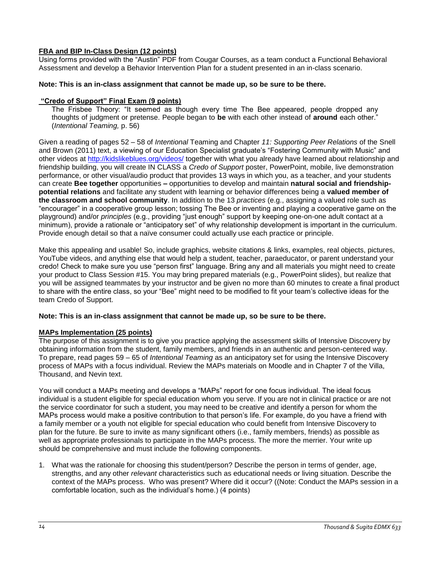## **FBA and BIP In-Class Design (12 points)**

Using forms provided with the "Austin" PDF from Cougar Courses, as a team conduct a Functional Behavioral Assessment and develop a Behavior Intervention Plan for a student presented in an in-class scenario.

### **Note: This is an in-class assignment that cannot be made up, so be sure to be there.**

### **"Credo of Support" Final Exam (9 points)**

The Frisbee Theory: "It seemed as though every time The Bee appeared, people dropped any thoughts of judgment or pretense. People began to **be** with each other instead of **around** each other." (*Intentional Teaming,* p. 56)

Given a reading of pages 52 – 58 of *Intentional* Teaming and Chapter *11: Supporting Peer Relations* of the Snell and Brown (2011) text, a viewing of our Education Specialist graduate's "Fostering Community with Music" and other videos at [http://kidslikeblues.org/videos/](http://kidslikeblues.org/video/) together with what you already have learned about relationship and friendship building, you will create IN CLASS a *Credo of Support* poster, PowerPoint, mobile, live demonstration performance, or other visual/audio product that provides 13 ways in which you, as a teacher, and your students can create **Bee together** opportunities **–** opportunities to develop and maintain **natural social and friendshippotential relations** and facilitate any student with learning or behavior differences being a **valued member of the classroom and school community**. In addition to the 13 *practices* (e.g., assigning a valued role such as "encourager" in a cooperative group lesson; tossing The Bee or inventing and playing a cooperative game on the playground) and/or *principles* (e.g., providing "just enough" support by keeping one-on-one adult contact at a minimum), provide a rationale or "anticipatory set" of why relationship development is important in the curriculum. Provide enough detail so that a naïve consumer could actually use each practice or principle.

Make this appealing and usable! So, include graphics, website citations & links, examples, real objects, pictures, YouTube videos, and anything else that would help a student, teacher, paraeducator, or parent understand your credo! Check to make sure you use "person first" language. Bring any and all materials you might need to create your product to Class Session #15. You may bring prepared materials (e.g., PowerPoint slides), but realize that you will be assigned teammates by your instructor and be given no more than 60 minutes to create a final product to share with the entire class, so your "Bee" might need to be modified to fit your team's collective ideas for the team Credo of Support.

### **Note: This is an in-class assignment that cannot be made up, so be sure to be there.**

## **MAPs Implementation (25 points)**

The purpose of this assignment is to give you practice applying the assessment skills of Intensive Discovery by obtaining information from the student, family members, and friends in an authentic and person-centered way. To prepare, read pages 59 – 65 of *Intentional Teaming* as an anticipatory set for using the Intensive Discovery process of MAPs with a focus individual. Review the MAPs materials on Moodle and in Chapter 7 of the Villa, Thousand, and Nevin text.

You will conduct a MAPs meeting and develops a "MAPs" report for one focus individual. The ideal focus individual is a student eligible for special education whom you serve. If you are not in clinical practice or are not the service coordinator for such a student, you may need to be creative and identify a person for whom the MAPs process would make a positive contribution to that person's life. For example, do you have a friend with a family member or a youth not eligible for special education who could benefit from Intensive Discovery to plan for the future. Be sure to invite as many significant others (i.e., family members, friends) as possible as well as appropriate professionals to participate in the MAPs process. The more the merrier. Your write up should be comprehensive and must include the following components.

1. What was the rationale for choosing this student/person? Describe the person in terms of gender, age, strengths, and any other *relevant* characteristics such as educational needs or living situation. Describe the context of the MAPs process. Who was present? Where did it occur? ((Note: Conduct the MAPs session in a comfortable location, such as the individual's home.) (4 points)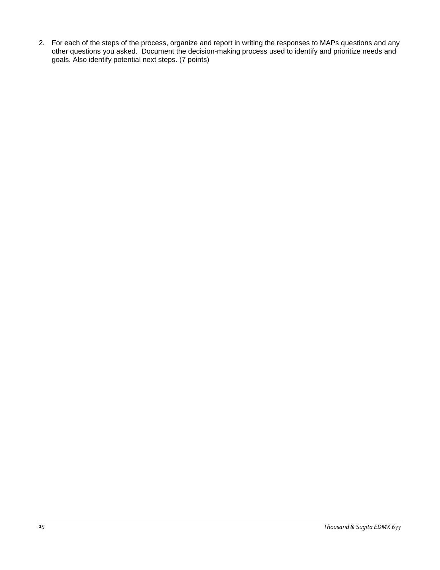2. For each of the steps of the process, organize and report in writing the responses to MAPs questions and any other questions you asked. Document the decision-making process used to identify and prioritize needs and goals. Also identify potential next steps. (7 points)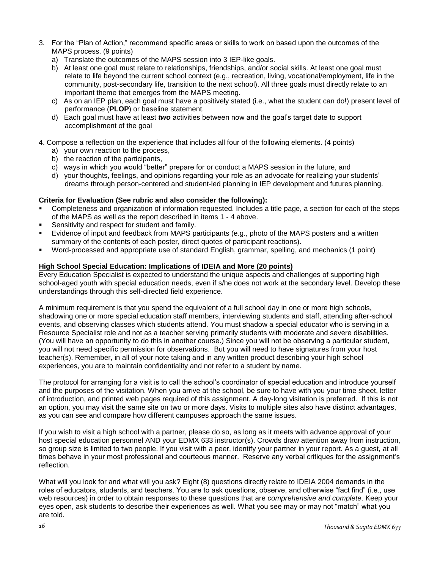- 3. For the "Plan of Action," recommend specific areas or skills to work on based upon the outcomes of the MAPS process. (9 points)
	- a) Translate the outcomes of the MAPS session into 3 IEP-like goals.
	- b) At least one goal must relate to relationships, friendships, and/or social skills. At least one goal must relate to life beyond the current school context (e.g., recreation, living, vocational/employment, life in the community, post-secondary life, transition to the next school). All three goals must directly relate to an important theme that emerges from the MAPS meeting.
	- c) As on an IEP plan, each goal must have a positively stated (i.e., what the student can do!) present level of performance (**PLOP**) or baseline statement.
	- d) Each goal must have at least *two* activities between now and the goal's target date to support accomplishment of the goal
- 4. Compose a reflection on the experience that includes all four of the following elements. (4 points)
	- a) your own reaction to the process,
	- b) the reaction of the participants,
	- c) ways in which you would "better" prepare for or conduct a MAPS session in the future, and
	- d) your thoughts, feelings, and opinions regarding your role as an advocate for realizing your students' dreams through person-centered and student-led planning in IEP development and futures planning.

## **Criteria for Evaluation (See rubric and also consider the following):**

- Completeness and organization of information requested. Includes a title page, a section for each of the steps of the MAPS as well as the report described in items 1 - 4 above.
- Sensitivity and respect for student and family.
- Evidence of input and feedback from MAPS participants (e.g., photo of the MAPS posters and a written summary of the contents of each poster, direct quotes of participant reactions).
- Word-processed and appropriate use of standard English, grammar, spelling, and mechanics (1 point)

## **High School Special Education: Implications of IDEIA and More (20 points)**

Every Education Specialist is expected to understand the unique aspects and challenges of supporting high school-aged youth with special education needs, even if s/he does not work at the secondary level. Develop these understandings through this self-directed field experience.

A minimum requirement is that you spend the equivalent of a full school day in one or more high schools, shadowing one or more special education staff members, interviewing students and staff, attending after-school events, and observing classes which students attend. You must shadow a special educator who is serving in a Resource Specialist role and not as a teacher serving primarily students with moderate and severe disabilities. (You will have an opportunity to do this in another course.) Since you will not be observing a particular student, you will not need specific permission for observations. But you will need to have signatures from your host teacher(s). Remember, in all of your note taking and in any written product describing your high school experiences, you are to maintain confidentiality and not refer to a student by name.

The protocol for arranging for a visit is to call the school's coordinator of special education and introduce yourself and the purposes of the visitation. When you arrive at the school, be sure to have with you your time sheet, letter of introduction, and printed web pages required of this assignment. A day-long visitation is preferred. If this is not an option, you may visit the same site on two or more days. Visits to multiple sites also have distinct advantages, as you can see and compare how different campuses approach the same issues.

If you wish to visit a high school with a partner, please do so, as long as it meets with advance approval of your host special education personnel AND your EDMX 633 instructor(s). Crowds draw attention away from instruction, so group size is limited to two people. If you visit with a peer, identify your partner in your report. As a guest, at all times behave in your most professional and courteous manner. Reserve any verbal critiques for the assignment's reflection.

What will you look for and what will you ask? Eight (8) questions directly relate to IDEIA 2004 demands in the roles of educators, students, and teachers. You are to ask questions, observe, and otherwise "fact find" (i.e., use web resources) in order to obtain responses to these questions that are *comprehensive and complete*. Keep your eyes open, ask students to describe their experiences as well. What you see may or may not "match" what you are told.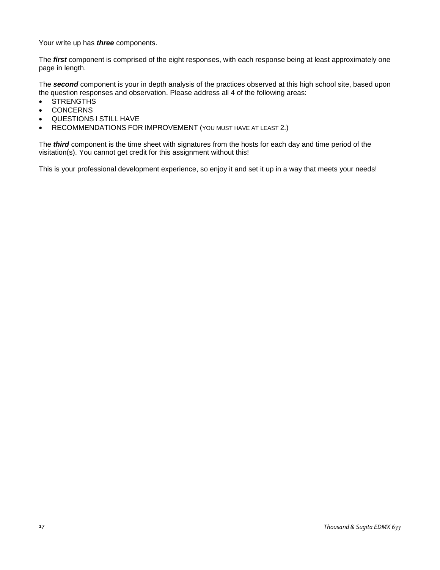Your write up has *three* components.

The *first* component is comprised of the eight responses, with each response being at least approximately one page in length.

The *second* component is your in depth analysis of the practices observed at this high school site, based upon the question responses and observation. Please address all 4 of the following areas:

- **STRENGTHS**
- **CONCERNS**
- QUESTIONS I STILL HAVE
- RECOMMENDATIONS FOR IMPROVEMENT (YOU MUST HAVE AT LEAST 2.)

The *third* component is the time sheet with signatures from the hosts for each day and time period of the visitation(s). You cannot get credit for this assignment without this!

This is your professional development experience, so enjoy it and set it up in a way that meets your needs!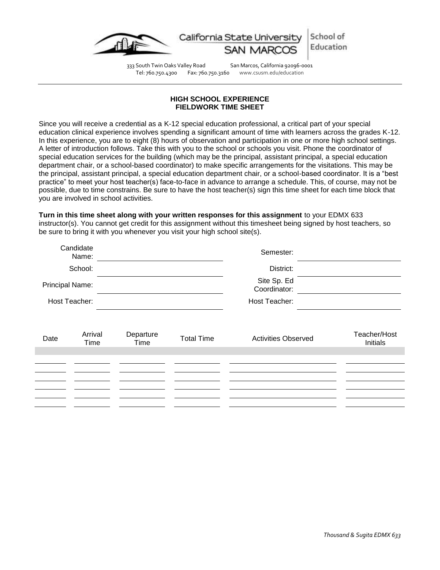

School of California State l Education

333 South Twin Oaks Valley Road San Marcos, California 92096-0001 Tel: 760.750.4300 Fax: 760.750.3160 www.csusm.edu/education

### **HIGH SCHOOL EXPERIENCE FIELDWORK TIME SHEET**

<span id="page-17-1"></span><span id="page-17-0"></span>Since you will receive a credential as a K-12 special education professional, a critical part of your special education clinical experience involves spending a significant amount of time with learners across the grades K-12. In this experience, you are to eight (8) hours of observation and participation in one or more high school settings. A letter of introduction follows. Take this with you to the school or schools you visit. Phone the coordinator of special education services for the building (which may be the principal, assistant principal, a special education department chair, or a school-based coordinator) to make specific arrangements for the visitations. This may be the principal, assistant principal, a special education department chair, or a school-based coordinator. It is a "best practice" to meet your host teacher(s) face-to-face in advance to arrange a schedule. This, of course, may not be possible, due to time constrains. Be sure to have the host teacher(s) sign this time sheet for each time block that you are involved in school activities.

**Turn in this time sheet along with your written responses for this assignment** to your EDMX 633 instructor(s). You cannot get credit for this assignment without this timesheet being signed by host teachers, so be sure to bring it with you whenever you visit your high school site(s).

| Name:                                                                                           |                          |
|-------------------------------------------------------------------------------------------------|--------------------------|
| School:<br>District:                                                                            |                          |
| Site Sp. Ed<br>Principal Name:<br>Coordinator:                                                  |                          |
| Host Teacher:<br>Host Teacher:                                                                  |                          |
| Arrival<br>Departure<br><b>Activities Observed</b><br><b>Total Time</b><br>Date<br>Time<br>Time | Teacher/Host<br>Initials |
|                                                                                                 |                          |
|                                                                                                 |                          |
|                                                                                                 |                          |
|                                                                                                 |                          |
|                                                                                                 |                          |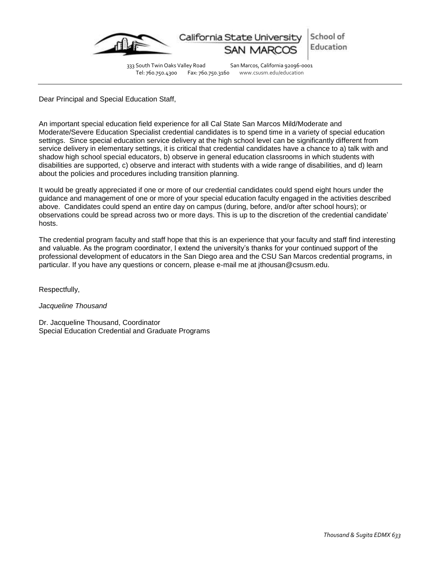

333 South Twin Oaks Valley Road San Marcos, California 92096-0001<br>Tel: 760.750.4300 Fax: 760.750.3160 www.csusm.edu/education Fax: 760.750.3160 www.csusm.edu/education

Dear Principal and Special Education Staff,

An important special education field experience for all Cal State San Marcos Mild/Moderate and Moderate/Severe Education Specialist credential candidates is to spend time in a variety of special education settings. Since special education service delivery at the high school level can be significantly different from service delivery in elementary settings, it is critical that credential candidates have a chance to a) talk with and shadow high school special educators, b) observe in general education classrooms in which students with disabilities are supported, c) observe and interact with students with a wide range of disabilities, and d) learn about the policies and procedures including transition planning.

It would be greatly appreciated if one or more of our credential candidates could spend eight hours under the guidance and management of one or more of your special education faculty engaged in the activities described above. Candidates could spend an entire day on campus (during, before, and/or after school hours); or observations could be spread across two or more days. This is up to the discretion of the credential candidate' hosts.

The credential program faculty and staff hope that this is an experience that your faculty and staff find interesting and valuable. As the program coordinator, I extend the university's thanks for your continued support of the professional development of educators in the San Diego area and the CSU San Marcos credential programs, in particular. If you have any questions or concern, please e-mail me at jthousan@csusm.edu.

Respectfully,

*Jacqueline Thousand*

Dr. Jacqueline Thousand, Coordinator Special Education Credential and Graduate Programs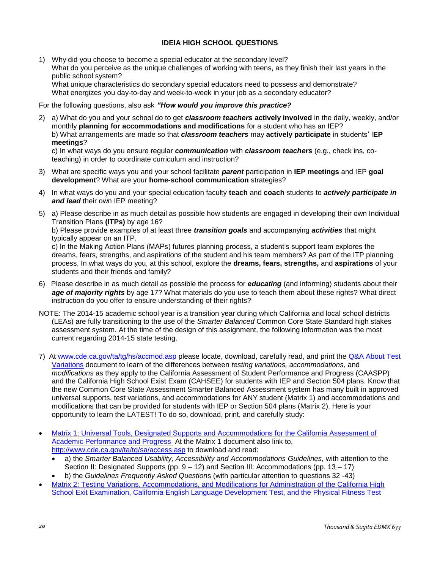## **IDEIA HIGH SCHOOL QUESTIONS**

<span id="page-19-0"></span>1) Why did you choose to become a special educator at the secondary level? What do you perceive as the unique challenges of working with teens, as they finish their last years in the public school system? What unique characteristics do secondary special educators need to possess and demonstrate? What energizes you day-to-day and week-to-week in your job as a secondary educator?

For the following questions, also ask *"How would you improve this practice?*

2) a) What do you and your school do to get *classroom teachers* **actively involved** in the daily, weekly, and/or monthly **planning for accommodations and modifications** for a student who has an IEP? b) What arrangements are made so that *classroom teachers* may **actively participate** in students' I**EP meetings**?

c) In what ways do you ensure regular *communication* with *classroom teachers* (e.g., check ins, coteaching) in order to coordinate curriculum and instruction?

- 3) What are specific ways you and your school facilitate *parent* participation in **IEP meetings** and IEP **goal development**? What are your **home-school communication** strategies?
- 4) In what ways do you and your special education faculty **teach** and **coach** students to *actively participate in and lead* their own IEP meeting?
- 5) a) Please describe in as much detail as possible how students are engaged in developing their own Individual Transition Plans **(ITPs)** by age 16?

b) Please provide examples of at least three *transition goals* and accompanying *activities* that might typically appear on an ITP.

c) In the Making Action Plans (MAPs) futures planning process, a student's support team explores the dreams, fears, strengths, and aspirations of the student and his team members? As part of the ITP planning process, In what ways do you, at this school, explore the **dreams, fears, strengths,** and **aspirations** of your students and their friends and family?

- 6) Please describe in as much detail as possible the process for **e***ducating* (and informing) students about their *age of majority rights* by age 17? What materials do you use to teach them about these rights? What direct instruction do you offer to ensure understanding of their rights?
- NOTE: The 2014-15 academic school year is a transition year during which California and local school districts (LEAs) are fully transitioning to the use of the *Smarter Balanced* Common Core State Standard high stakes assessment system. At the time of the design of this assignment, the following information was the most current regarding 2014-15 state testing.
- 7) At [www.cde.ca.gov/ta/tg/hs/accmod.asp](http://www.cde.ca.gov/ta/tg/hs/accmod.asp) please locate, download, carefully read, and print the Q&A About Test [Variations](http://www.cde.ca.gov/ta/tg/hs/qandatestvar.asp) document to learn of the differences between *testing variations, accommodations,* and *modifications* as they apply to the California Assessment of Student Performance and Progress (CAASPP) and the California High School Exist Exam (CAHSEE) for students with IEP and Section 504 plans. Know that the new Common Core State Assessment Smarter Balanced Assessment system has many built in approved universal supports, test variations, and accommodations for ANY student (Matrix 1) and accommodations and modifications that can be provided for students with IEP or Section 504 plans (Matrix 2). Here is your opportunity to learn the LATEST! To do so, download, print, and carefully study:
- [Matrix 1: Universal Tools, Designated Supports and Accommodations for the California Assessment of](http://www.cde.ca.gov/ta/tg/ai/caasppmatrix1.asp)  [Academic Performance and Progress](http://www.cde.ca.gov/ta/tg/ai/caasppmatrix1.asp) At the Matrix 1 document also link to, <http://www.cde.ca.gov/ta/tg/sa/access.asp> to download and read:
	- a) the *Smarter Balanced Usability, Accessibility and Accommodations Guidelines,* with attention to the Section II: Designated Supports (pp. 9 – 12) and Section III: Accommodations (pp. 13 – 17)
	- b) the *Guidelines Frequently Asked Question*s (with particular attention to questions 32 -43)
- Matrix 2: Testing Variations, Accommodations, and Modifications for Administration of the California High [School Exit Examination, California English Language Development Test, and the Physical Fitness Test](http://www.cde.ca.gov/ta/tg/ai/caasppmatrix2.asp)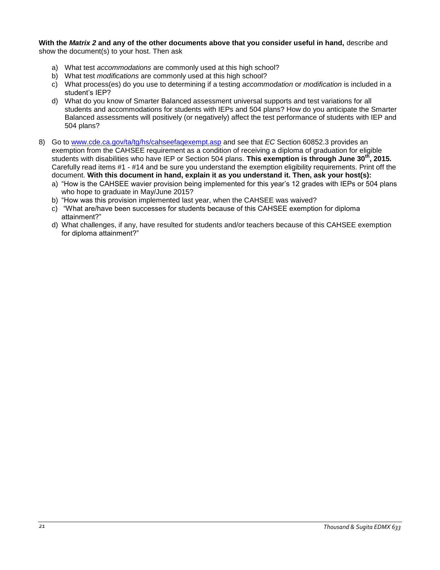**With the** *Matrix 2* **and any of the other documents above that you consider useful in hand,** describe and show the document(s) to your host. Then ask

- a) What test *accommodations* are commonly used at this high school?
- b) What test *modifications* are commonly used at this high school?
- c) What process(es) do you use to determining if a testing *accommodation* or *modification* is included in a student's IEP?
- d) What do you know of Smarter Balanced assessment universal supports and test variations for all students and accommodations for students with IEPs and 504 plans? How do you anticipate the Smarter Balanced assessments will positively (or negatively) affect the test performance of students with IEP and 504 plans?
- 8) Go to [www.cde.ca.gov/ta/tg/hs/cahseefaqexempt.asp](http://www.cde.ca.gov/ta/tg/hs/cahseefaqexempt.asp) and see that *EC* Section 60852.3 provides an exemption from the CAHSEE requirement as a condition of receiving a diploma of graduation for eligible students with disabilities who have IEP or Section 504 plans. **This exemption is through June 30th, 2015.** Carefully read items #1 - #14 and be sure you understand the exemption eligibility requirements. Print off the document. **With this document in hand, explain it as you understand it. Then, ask your host(s):** 
	- a) "How is the CAHSEE wavier provision being implemented for this year's 12 grades with IEPs or 504 plans who hope to graduate in May/June 2015?
	- b) "How was this provision implemented last year, when the CAHSEE was waived?
	- c) "What are/have been successes for students because of this CAHSEE exemption for diploma attainment?"
	- d) What challenges, if any, have resulted for students and/or teachers because of this CAHSEE exemption for diploma attainment?"